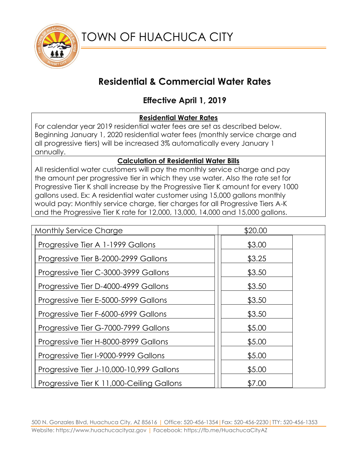

# **Residential & Commercial Water Rates**

## **Effective April 1, 2019**

## **Residential Water Rates**

For calendar year 2019 residential water fees are set as described below. Beginning January 1, 2020 residential water fees (monthly service charge and all progressive tiers) will be increased 3% automatically every January 1 annually.

### **Calculation of Residential Water Bills**

All residential water customers will pay the monthly service charge and pay the amount per progressive tier in which they use water. Also the rate set for Progressive Tier K shall increase by the Progressive Tier K amount for every 1000 gallons used. Ex: A residential water customer using 15,000 gallons monthly would pay: Monthly service charge, tier charges for all Progressive Tiers A-K and the Progressive Tier K rate for 12,000, 13,000, 14,000 and 15,000 gallons.

| <b>Monthly Service Charge</b>             | \$20.00 |
|-------------------------------------------|---------|
| Progressive Tier A 1-1999 Gallons         | \$3.00  |
| Progressive Tier B-2000-2999 Gallons      | \$3.25  |
| Progressive Tier C-3000-3999 Gallons      | \$3.50  |
| Progressive Tier D-4000-4999 Gallons      | \$3.50  |
| Progressive Tier E-5000-5999 Gallons      | \$3.50  |
| Progressive Tier F-6000-6999 Gallons      | \$3.50  |
| Progressive Tier G-7000-7999 Gallons      | \$5.00  |
| Progressive Tier H-8000-8999 Gallons      | \$5.00  |
| Progressive Tier I-9000-9999 Gallons      | \$5.00  |
| Progressive Tier J-10,000-10,999 Gallons  | \$5.00  |
| Progressive Tier K 11,000-Ceiling Gallons | \$7.00  |